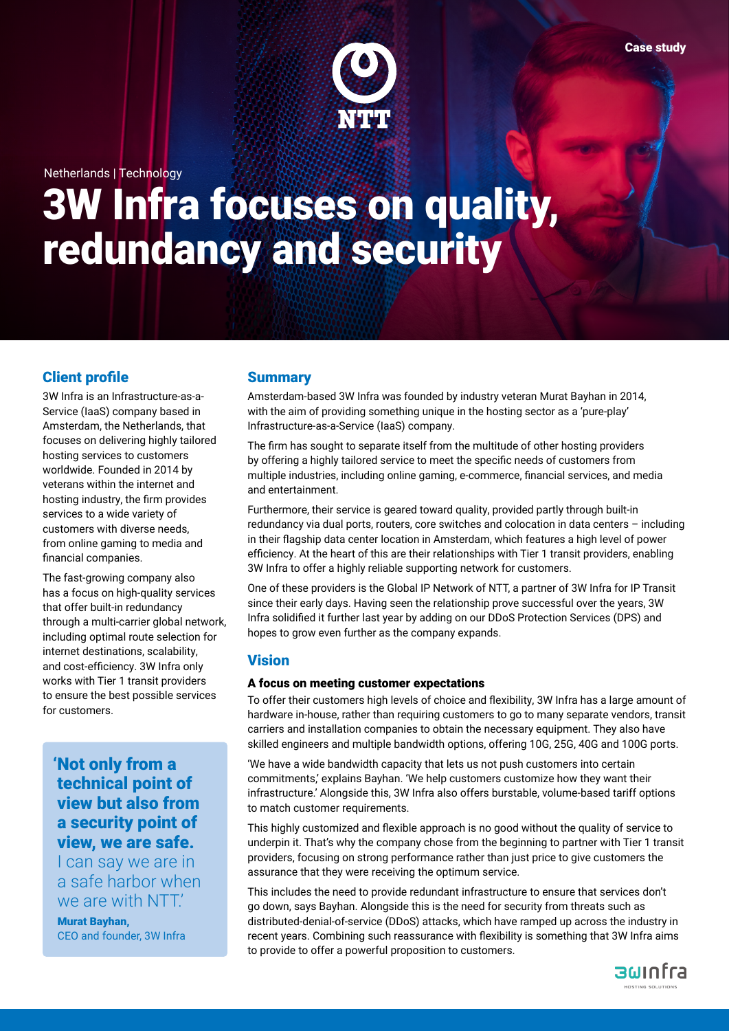Netherlands | Technology

# 3W Infra focuses on quality, redundancy and security

# Client profile

3W Infra is an Infrastructure-as-a-Service (IaaS) company based in Amsterdam, the Netherlands, that focuses on delivering highly tailored hosting services to customers worldwide. Founded in 2014 by veterans within the internet and hosting industry, the firm provides services to a wide variety of customers with diverse needs, from online gaming to media and financial companies.

The fast-growing company also has a focus on high-quality services that offer built-in redundancy through a multi-carrier global network, including optimal route selection for internet destinations, scalability, and cost-efficiency. 3W Infra only works with Tier 1 transit providers to ensure the best possible services for customers.

# 'Not only from a technical point of view but also from a security point of view, we are safe.

I can say we are in a safe harbor when we are with NTT.'

Murat Bayhan, CEO and founder, 3W Infra

## **Summary**

Amsterdam-based 3W Infra was founded by industry veteran Murat Bayhan in 2014, with the aim of providing something unique in the hosting sector as a 'pure-play' Infrastructure-as-a-Service (IaaS) company.

The firm has sought to separate itself from the multitude of other hosting providers by offering a highly tailored service to meet the specific needs of customers from multiple industries, including online gaming, e-commerce, financial services, and media and entertainment.

Furthermore, their service is geared toward quality, provided partly through built-in redundancy via dual ports, routers, core switches and colocation in data centers – including in their flagship data center location in Amsterdam, which features a high level of power efficiency. At the heart of this are their relationships with Tier 1 transit providers, enabling 3W Infra to offer a highly reliable supporting network for customers.

One of these providers is the Global IP Network of NTT, a partner of 3W Infra for IP Transit since their early days. Having seen the relationship prove successful over the years, 3W Infra solidified it further last year by adding on our DDoS Protection Services (DPS) and hopes to grow even further as the company expands.

### Vision

#### A focus on meeting customer expectations

To offer their customers high levels of choice and flexibility, 3W Infra has a large amount of hardware in-house, rather than requiring customers to go to many separate vendors, transit carriers and installation companies to obtain the necessary equipment. They also have skilled engineers and multiple bandwidth options, offering 10G, 25G, 40G and 100G ports.

'We have a wide bandwidth capacity that lets us not push customers into certain commitments,' explains Bayhan. 'We help customers customize how they want their infrastructure.' Alongside this, 3W Infra also offers burstable, volume-based tariff options to match customer requirements.

This highly customized and flexible approach is no good without the quality of service to underpin it. That's why the company chose from the beginning to partner with Tier 1 transit providers, focusing on strong performance rather than just price to give customers the assurance that they were receiving the optimum service.

This includes the need to provide redundant infrastructure to ensure that services don't go down, says Bayhan. Alongside this is the need for security from threats such as distributed-denial-of-service (DDoS) attacks, which have ramped up across the industry in recent years. Combining such reassurance with flexibility is something that 3W Infra aims to provide to offer a powerful proposition to customers.